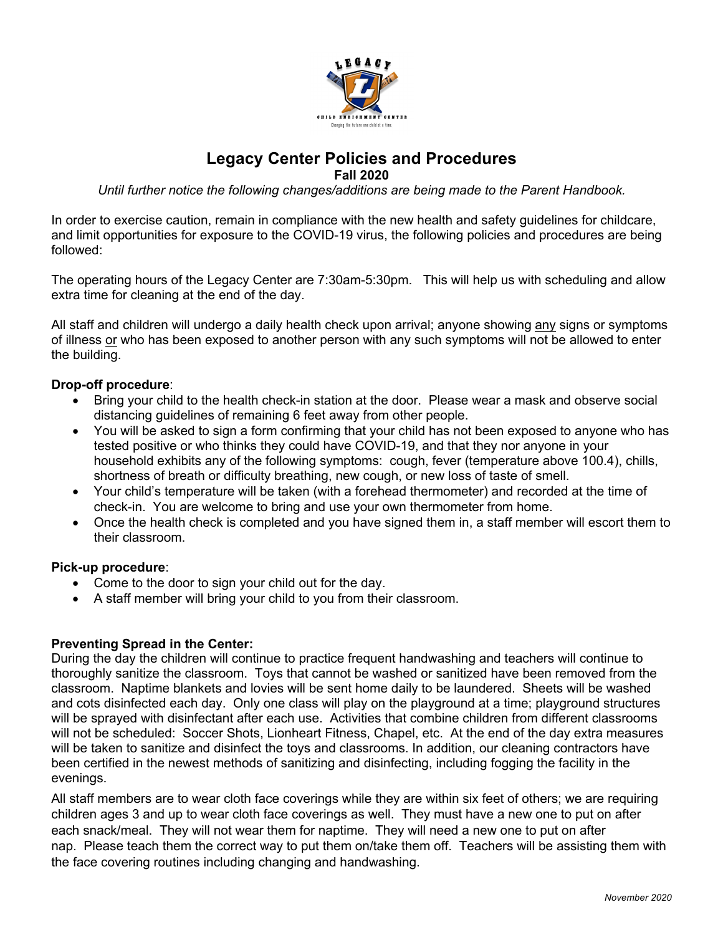

# **Legacy Center Policies and Procedures**

**Fall 2020**

*Until further notice the following changes/additions are being made to the Parent Handbook.*

In order to exercise caution, remain in compliance with the new health and safety guidelines for childcare, and limit opportunities for exposure to the COVID-19 virus, the following policies and procedures are being followed:

The operating hours of the Legacy Center are 7:30am-5:30pm. This will help us with scheduling and allow extra time for cleaning at the end of the day.

All staff and children will undergo a daily health check upon arrival; anyone showing any signs or symptoms of illness or who has been exposed to another person with any such symptoms will not be allowed to enter the building.

### **Drop-off procedure**:

- Bring your child to the health check-in station at the door. Please wear a mask and observe social distancing guidelines of remaining 6 feet away from other people.
- You will be asked to sign a form confirming that your child has not been exposed to anyone who has tested positive or who thinks they could have COVID-19, and that they nor anyone in your household exhibits any of the following symptoms: cough, fever (temperature above 100.4), chills, shortness of breath or difficulty breathing, new cough, or new loss of taste of smell.
- Your child's temperature will be taken (with a forehead thermometer) and recorded at the time of check-in. You are welcome to bring and use your own thermometer from home.
- Once the health check is completed and you have signed them in, a staff member will escort them to their classroom.

#### **Pick-up procedure**:

- Come to the door to sign your child out for the day.
- A staff member will bring your child to you from their classroom.

## **Preventing Spread in the Center:**

During the day the children will continue to practice frequent handwashing and teachers will continue to thoroughly sanitize the classroom. Toys that cannot be washed or sanitized have been removed from the classroom. Naptime blankets and lovies will be sent home daily to be laundered. Sheets will be washed and cots disinfected each day. Only one class will play on the playground at a time; playground structures will be sprayed with disinfectant after each use. Activities that combine children from different classrooms will not be scheduled: Soccer Shots, Lionheart Fitness, Chapel, etc. At the end of the day extra measures will be taken to sanitize and disinfect the toys and classrooms. In addition, our cleaning contractors have been certified in the newest methods of sanitizing and disinfecting, including fogging the facility in the evenings.

All staff members are to wear cloth face coverings while they are within six feet of others; we are requiring children ages 3 and up to wear cloth face coverings as well. They must have a new one to put on after each snack/meal. They will not wear them for naptime. They will need a new one to put on after nap. Please teach them the correct way to put them on/take them off. Teachers will be assisting them with the face covering routines including changing and handwashing.